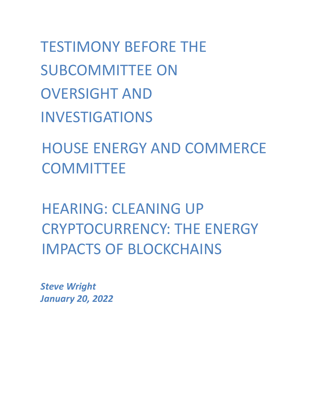TESTIMONY BEFORE THE SUBCOMMITTEE ON OVERSIGHT AND INVESTIGATIONS

HOUSE ENERGY AND COMMERCE **COMMITTEE** 

HEARING: CLEANING UP CRYPTOCURRENCY: THE ENERGY IMPACTS OF BLOCKCHAINS

*Steve Wright January 20, 2022*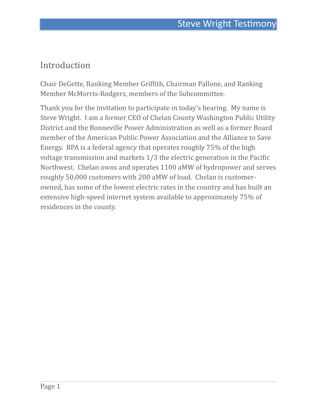## Introduction

Chair DeGette, Ranking Member Griffith, Chairman Pallone, and Ranking Member McMorris-Rodgers, members of the Subcommittee.

Thank you for the invitation to participate in today's hearing. My name is Steve Wright. I am a former CEO of Chelan County Washington Public Utility District and the Bonneville Power Administration as well as a former Board member of the American Public Power Association and the Alliance to Save Energy. BPA is a federal agency that operates roughly 75% of the high voltage transmission and markets  $1/3$  the electric generation in the Pacific Northwest. Chelan owns and operates 1100 aMW of hydropower and serves roughly 50,000 customers with 200 aMW of load. Chelan is customerowned, has some of the lowest electric rates in the country and has built an extensive high-speed internet system available to approximately 75% of residences in the county.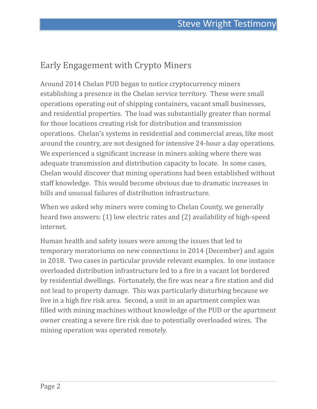# Early Engagement with Crypto Miners

Around 2014 Chelan PUD began to notice cryptocurrency miners establishing a presence in the Chelan service territory. These were small operations operating out of shipping containers, vacant small businesses, and residential properties. The load was substantially greater than normal for those locations creating risk for distribution and transmission operations. Chelan's systems in residential and commercial areas, like most around the country, are not designed for intensive 24-hour a day operations. We experienced a significant increase in miners asking where there was adequate transmission and distribution capacity to locate. In some cases, Chelan would discover that mining operations had been established without staff knowledge. This would become obvious due to dramatic increases in bills and unusual failures of distribution infrastructure.

When we asked why miners were coming to Chelan County, we generally heard two answers: (1) low electric rates and (2) availability of high-speed internet.

Human health and safety issues were among the issues that led to temporary moratoriums on new connections in 2014 (December) and again in 2018. Two cases in particular provide relevant examples. In one instance overloaded distribution infrastructure led to a fire in a vacant lot bordered by residential dwellings. Fortunately, the fire was near a fire station and did not lead to property damage. This was particularly disturbing because we live in a high fire risk area. Second, a unit in an apartment complex was filled with mining machines without knowledge of the PUD or the apartment owner creating a severe fire risk due to potentially overloaded wires. The mining operation was operated remotely.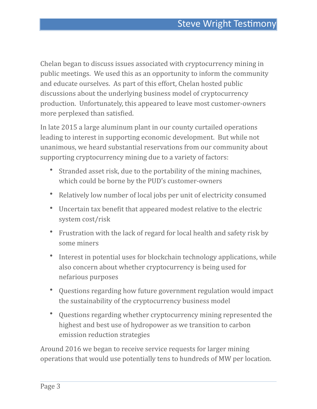Chelan began to discuss issues associated with cryptocurrency mining in public meetings. We used this as an opportunity to inform the community and educate ourselves. As part of this effort, Chelan hosted public discussions about the underlying business model of cryptocurrency production. Unfortunately, this appeared to leave most customer-owners more perplexed than satisfied.

In late 2015 a large aluminum plant in our county curtailed operations leading to interest in supporting economic development. But while not unanimous, we heard substantial reservations from our community about supporting cryptocurrency mining due to a variety of factors:

- Stranded asset risk, due to the portability of the mining machines, which could be borne by the PUD's customer-owners
- Relatively low number of local jobs per unit of electricity consumed
- Uncertain tax benefit that appeared modest relative to the electric system cost/risk
- Frustration with the lack of regard for local health and safety risk by some miners
- Interest in potential uses for blockchain technology applications, while also concern about whether cryptocurrency is being used for nefarious purposes
- Questions regarding how future government regulation would impact the sustainability of the cryptocurrency business model
- Ouestions regarding whether cryptocurrency mining represented the highest and best use of hydropower as we transition to carbon emission reduction strategies

Around 2016 we began to receive service requests for larger mining operations that would use potentially tens to hundreds of MW per location.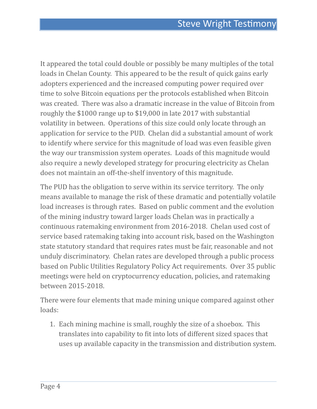It appeared the total could double or possibly be many multiples of the total loads in Chelan County. This appeared to be the result of quick gains early adopters experienced and the increased computing power required over time to solve Bitcoin equations per the protocols established when Bitcoin was created. There was also a dramatic increase in the value of Bitcoin from roughly the \$1000 range up to \$19,000 in late  $2017$  with substantial volatility in between. Operations of this size could only locate through an application for service to the PUD. Chelan did a substantial amount of work to identify where service for this magnitude of load was even feasible given the way our transmission system operates. Loads of this magnitude would also require a newly developed strategy for procuring electricity as Chelan does not maintain an off-the-shelf inventory of this magnitude.

The PUD has the obligation to serve within its service territory. The only means available to manage the risk of these dramatic and potentially volatile load increases is through rates. Based on public comment and the evolution of the mining industry toward larger loads Chelan was in practically a continuous ratemaking environment from 2016-2018. Chelan used cost of service based ratemaking taking into account risk, based on the Washington state statutory standard that requires rates must be fair, reasonable and not unduly discriminatory. Chelan rates are developed through a public process based on Public Utilities Regulatory Policy Act requirements. Over 35 public meetings were held on cryptocurrency education, policies, and ratemaking between 2015-2018.

There were four elements that made mining unique compared against other loads:

1. Each mining machine is small, roughly the size of a shoebox. This translates into capability to fit into lots of different sized spaces that uses up available capacity in the transmission and distribution system.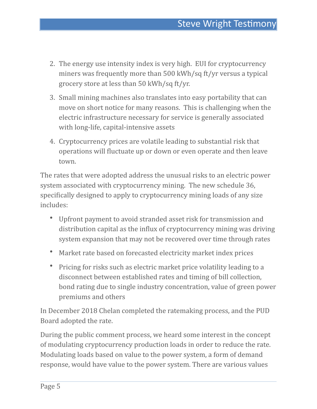- 2. The energy use intensity index is very high. EUI for cryptocurrency miners was frequently more than 500 kWh/sq ft/yr versus a typical grocery store at less than 50 kWh/sq ft/yr.
- 3. Small mining machines also translates into easy portability that can move on short notice for many reasons. This is challenging when the electric infrastructure necessary for service is generally associated with long-life, capital-intensive assets
- 4. Cryptocurrency prices are volatile leading to substantial risk that operations will fluctuate up or down or even operate and then leave town.

The rates that were adopted address the unusual risks to an electric power system associated with cryptocurrency mining. The new schedule 36, specifically designed to apply to cryptocurrency mining loads of any size includes:

- Upfront payment to avoid stranded asset risk for transmission and distribution capital as the influx of cryptocurrency mining was driving system expansion that may not be recovered over time through rates
- Market rate based on forecasted electricity market index prices
- Pricing for risks such as electric market price volatility leading to a disconnect between established rates and timing of bill collection, bond rating due to single industry concentration, value of green power premiums and others

In December 2018 Chelan completed the ratemaking process, and the PUD Board adopted the rate.

During the public comment process, we heard some interest in the concept of modulating cryptocurrency production loads in order to reduce the rate. Modulating loads based on value to the power system, a form of demand response, would have value to the power system. There are various values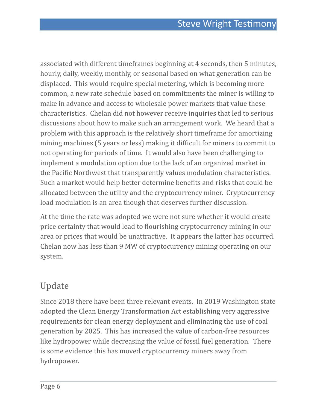associated with different timeframes beginning at 4 seconds, then 5 minutes, hourly, daily, weekly, monthly, or seasonal based on what generation can be displaced. This would require special metering, which is becoming more common, a new rate schedule based on commitments the miner is willing to make in advance and access to wholesale power markets that value these characteristics. Chelan did not however receive inquiries that led to serious discussions about how to make such an arrangement work. We heard that a problem with this approach is the relatively short timeframe for amortizing mining machines (5 years or less) making it difficult for miners to commit to not operating for periods of time. It would also have been challenging to implement a modulation option due to the lack of an organized market in the Pacific Northwest that transparently values modulation characteristics. Such a market would help better determine benefits and risks that could be allocated between the utility and the cryptocurrency miner. Cryptocurrency load modulation is an area though that deserves further discussion.

At the time the rate was adopted we were not sure whether it would create price certainty that would lead to flourishing cryptocurrency mining in our area or prices that would be unattractive. It appears the latter has occurred. Chelan now has less than 9 MW of cryptocurrency mining operating on our system.

## Update

Since 2018 there have been three relevant events. In 2019 Washington state adopted the Clean Energy Transformation Act establishing very aggressive requirements for clean energy deployment and eliminating the use of coal generation by 2025. This has increased the value of carbon-free resources like hydropower while decreasing the value of fossil fuel generation. There is some evidence this has moved cryptocurrency miners away from hydropower.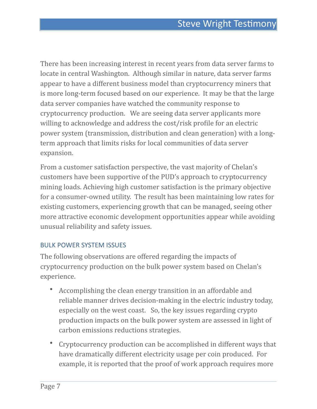There has been increasing interest in recent years from data server farms to locate in central Washington. Although similar in nature, data server farms appear to have a different business model than cryptocurrency miners that is more long-term focused based on our experience. It may be that the large data server companies have watched the community response to cryptocurrency production. We are seeing data server applicants more willing to acknowledge and address the cost/risk profile for an electric power system (transmission, distribution and clean generation) with a longterm approach that limits risks for local communities of data server expansion.

From a customer satisfaction perspective, the vast majority of Chelan's customers have been supportive of the PUD's approach to cryptocurrency mining loads. Achieving high customer satisfaction is the primary objective for a consumer-owned utility. The result has been maintaining low rates for existing customers, experiencing growth that can be managed, seeing other more attractive economic development opportunities appear while avoiding unusual reliability and safety issues.

#### BULK POWER SYSTEM ISSUES

The following observations are offered regarding the impacts of cryptocurrency production on the bulk power system based on Chelan's experience.

- Accomplishing the clean energy transition in an affordable and reliable manner drives decision-making in the electric industry today, especially on the west coast. So, the key issues regarding crypto production impacts on the bulk power system are assessed in light of carbon emissions reductions strategies.
- Cryptocurrency production can be accomplished in different ways that have dramatically different electricity usage per coin produced. For example, it is reported that the proof of work approach requires more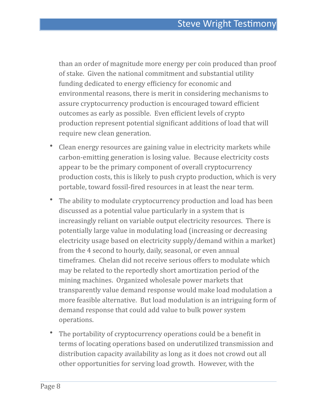than an order of magnitude more energy per coin produced than proof of stake. Given the national commitment and substantial utility funding dedicated to energy efficiency for economic and environmental reasons, there is merit in considering mechanisms to assure cryptocurrency production is encouraged toward efficient outcomes as early as possible. Even efficient levels of crypto production represent potential significant additions of load that will require new clean generation.

- Clean energy resources are gaining value in electricity markets while carbon-emitting generation is losing value. Because electricity costs appear to be the primary component of overall cryptocurrency production costs, this is likely to push crypto production, which is very portable, toward fossil-fired resources in at least the near term.
- The ability to modulate cryptocurrency production and load has been discussed as a potential value particularly in a system that is increasingly reliant on variable output electricity resources. There is potentially large value in modulating load (increasing or decreasing electricity usage based on electricity supply/demand within a market) from the 4 second to hourly, daily, seasonal, or even annual timeframes. Chelan did not receive serious offers to modulate which may be related to the reportedly short amortization period of the mining machines. Organized wholesale power markets that transparently value demand response would make load modulation a more feasible alternative. But load modulation is an intriguing form of demand response that could add value to bulk power system operations.
- The portability of cryptocurrency operations could be a benefit in terms of locating operations based on underutilized transmission and distribution capacity availability as long as it does not crowd out all other opportunities for serving load growth. However, with the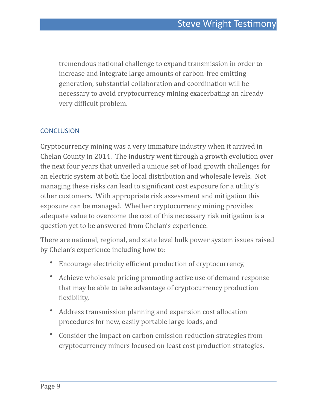tremendous national challenge to expand transmission in order to increase and integrate large amounts of carbon-free emitting generation, substantial collaboration and coordination will be necessary to avoid cryptocurrency mining exacerbating an already very difficult problem.

### **CONCLUSION**

Cryptocurrency mining was a very immature industry when it arrived in Chelan County in 2014. The industry went through a growth evolution over the next four years that unveiled a unique set of load growth challenges for an electric system at both the local distribution and wholesale levels. Not managing these risks can lead to significant cost exposure for a utility's other customers. With appropriate risk assessment and mitigation this exposure can be managed. Whether cryptocurrency mining provides adequate value to overcome the cost of this necessary risk mitigation is a question yet to be answered from Chelan's experience.

There are national, regional, and state level bulk power system issues raised by Chelan's experience including how to:

- Encourage electricity efficient production of cryptocurrency,
- Achieve wholesale pricing promoting active use of demand response that may be able to take advantage of cryptocurrency production flexibility,
- Address transmission planning and expansion cost allocation procedures for new, easily portable large loads, and
- Consider the impact on carbon emission reduction strategies from cryptocurrency miners focused on least cost production strategies.